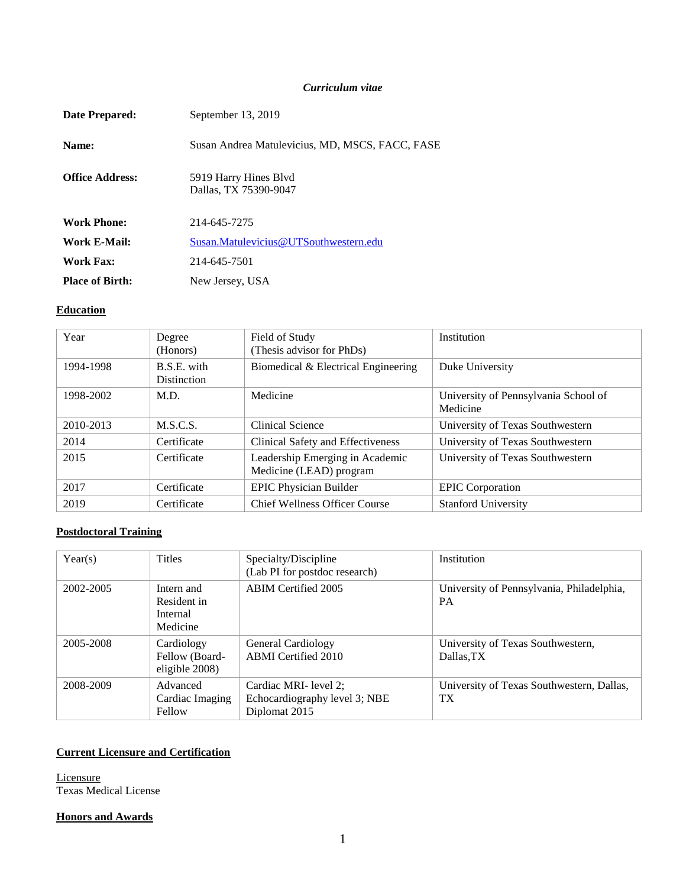#### *Curriculum vitae*

| Date Prepared:         | September 13, 2019                              |
|------------------------|-------------------------------------------------|
| Name:                  | Susan Andrea Matulevicius, MD, MSCS, FACC, FASE |
| <b>Office Address:</b> | 5919 Harry Hines Blyd<br>Dallas, TX 75390-9047  |
| <b>Work Phone:</b>     | 214-645-7275                                    |
| Work E-Mail:           | Susan.Matulevicius@UTSouthwestern.edu           |
| <b>Work Fax:</b>       | 214-645-7501                                    |
| <b>Place of Birth:</b> | New Jersey, USA                                 |

# **Education**

| Year      | Degree<br>(Honors)                | Field of Study<br>(Thesis advisor for PhDs)                | Institution                                      |
|-----------|-----------------------------------|------------------------------------------------------------|--------------------------------------------------|
| 1994-1998 | B.S.E. with<br><b>Distinction</b> | Biomedical & Electrical Engineering                        | Duke University                                  |
| 1998-2002 | M.D.                              | Medicine                                                   | University of Pennsylvania School of<br>Medicine |
| 2010-2013 | M.S.C.S.                          | Clinical Science                                           | University of Texas Southwestern                 |
| 2014      | Certificate                       | Clinical Safety and Effectiveness                          | University of Texas Southwestern                 |
| 2015      | Certificate                       | Leadership Emerging in Academic<br>Medicine (LEAD) program | University of Texas Southwestern                 |
| 2017      | Certificate                       | <b>EPIC Physician Builder</b>                              | <b>EPIC</b> Corporation                          |
| 2019      | Certificate                       | <b>Chief Wellness Officer Course</b>                       | <b>Stanford University</b>                       |

## **Postdoctoral Training**

| Year(s)   | <b>Titles</b>                                     | Specialty/Discipline<br>(Lab PI for postdoc research)                   | Institution                                                  |
|-----------|---------------------------------------------------|-------------------------------------------------------------------------|--------------------------------------------------------------|
| 2002-2005 | Intern and<br>Resident in<br>Internal<br>Medicine | ABIM Certified 2005                                                     | University of Pennsylvania, Philadelphia,<br><b>PA</b>       |
| 2005-2008 | Cardiology<br>Fellow (Board-<br>eligible 2008)    | General Cardiology<br><b>ABMI</b> Certified 2010                        | University of Texas Southwestern,<br>Dallas.TX               |
| 2008-2009 | Advanced<br>Cardiac Imaging<br>Fellow             | Cardiac MRI- level 2;<br>Echocardiography level 3; NBE<br>Diplomat 2015 | University of Texas Southwestern, Dallas,<br>TX <sup>1</sup> |

### **Current Licensure and Certification**

**Licensure** Texas Medical License

### **Honors and Awards**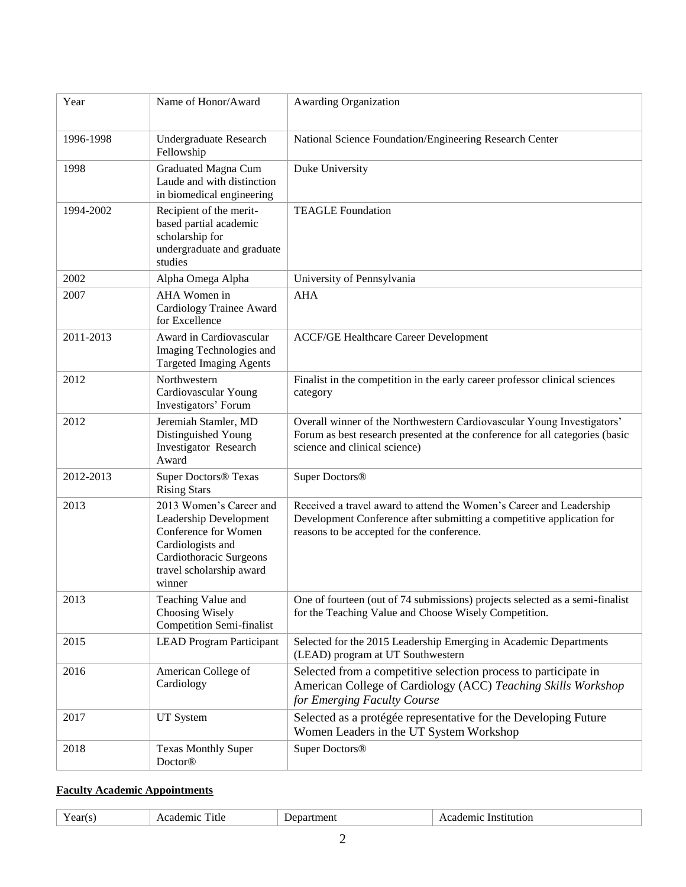| Year      | Name of Honor/Award                                                                                                                                             | <b>Awarding Organization</b>                                                                                                                                                               |
|-----------|-----------------------------------------------------------------------------------------------------------------------------------------------------------------|--------------------------------------------------------------------------------------------------------------------------------------------------------------------------------------------|
| 1996-1998 | Undergraduate Research<br>Fellowship                                                                                                                            | National Science Foundation/Engineering Research Center                                                                                                                                    |
| 1998      | Graduated Magna Cum<br>Laude and with distinction<br>in biomedical engineering                                                                                  | Duke University                                                                                                                                                                            |
| 1994-2002 | Recipient of the merit-<br>based partial academic<br>scholarship for<br>undergraduate and graduate<br>studies                                                   | <b>TEAGLE Foundation</b>                                                                                                                                                                   |
| 2002      | Alpha Omega Alpha                                                                                                                                               | University of Pennsylvania                                                                                                                                                                 |
| 2007      | AHA Women in<br>Cardiology Trainee Award<br>for Excellence                                                                                                      | <b>AHA</b>                                                                                                                                                                                 |
| 2011-2013 | Award in Cardiovascular<br>Imaging Technologies and<br><b>Targeted Imaging Agents</b>                                                                           | <b>ACCF/GE Healthcare Career Development</b>                                                                                                                                               |
| 2012      | Northwestern<br>Cardiovascular Young<br>Investigators' Forum                                                                                                    | Finalist in the competition in the early career professor clinical sciences<br>category                                                                                                    |
| 2012      | Jeremiah Stamler, MD<br>Distinguished Young<br>Investigator Research<br>Award                                                                                   | Overall winner of the Northwestern Cardiovascular Young Investigators'<br>Forum as best research presented at the conference for all categories (basic<br>science and clinical science)    |
| 2012-2013 | <b>Super Doctors® Texas</b><br><b>Rising Stars</b>                                                                                                              | Super Doctors <sup>®</sup>                                                                                                                                                                 |
| 2013      | 2013 Women's Career and<br>Leadership Development<br>Conference for Women<br>Cardiologists and<br>Cardiothoracic Surgeons<br>travel scholarship award<br>winner | Received a travel award to attend the Women's Career and Leadership<br>Development Conference after submitting a competitive application for<br>reasons to be accepted for the conference. |
| 2013      | Teaching Value and<br>Choosing Wisely<br><b>Competition Semi-finalist</b>                                                                                       | One of fourteen (out of 74 submissions) projects selected as a semi-finalist<br>for the Teaching Value and Choose Wisely Competition.                                                      |
| 2015      | <b>LEAD Program Participant</b>                                                                                                                                 | Selected for the 2015 Leadership Emerging in Academic Departments<br>(LEAD) program at UT Southwestern                                                                                     |
| 2016      | American College of<br>Cardiology                                                                                                                               | Selected from a competitive selection process to participate in<br>American College of Cardiology (ACC) Teaching Skills Workshop<br>for Emerging Faculty Course                            |
| 2017      | UT System                                                                                                                                                       | Selected as a protégée representative for the Developing Future<br>Women Leaders in the UT System Workshop                                                                                 |
| 2018      | <b>Texas Monthly Super</b><br>Doctor <sup>®</sup>                                                                                                               | Super Doctors <sup>®</sup>                                                                                                                                                                 |

# **Faculty Academic Appointments**

| m.<br>`itle<br>ment<br>stitution<br>ear<br>яне<br>ш<br><b>CIO</b><br>ъ.<br>ни |  |
|-------------------------------------------------------------------------------|--|
|-------------------------------------------------------------------------------|--|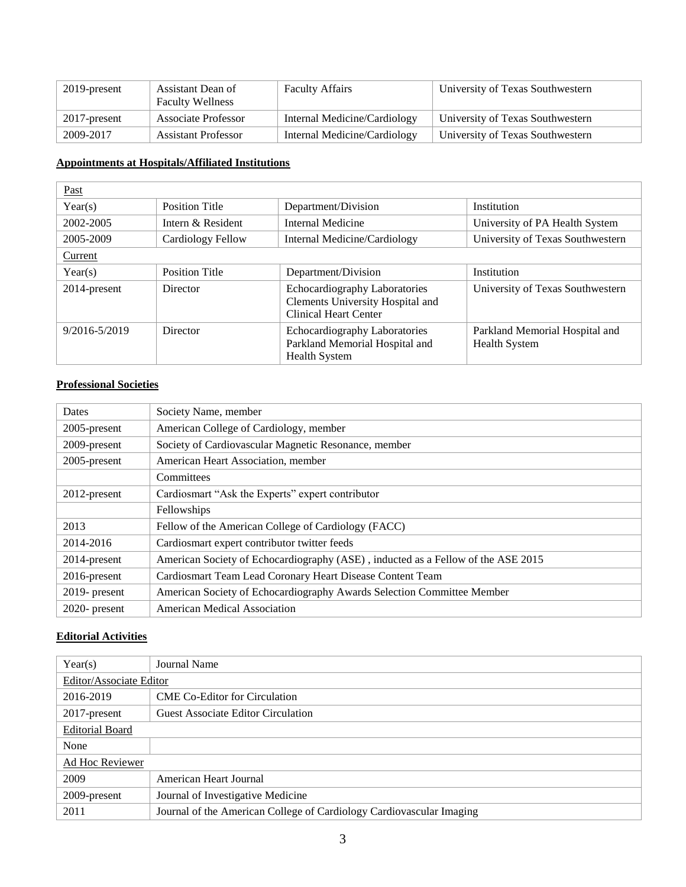| 2019-present | Assistant Dean of<br><b>Faculty Wellness</b> | <b>Faculty Affairs</b>       | University of Texas Southwestern |
|--------------|----------------------------------------------|------------------------------|----------------------------------|
| 2017-present | <b>Associate Professor</b>                   | Internal Medicine/Cardiology | University of Texas Southwestern |
| 2009-2017    | <b>Assistant Professor</b>                   | Internal Medicine/Cardiology | University of Texas Southwestern |

# **Appointments at Hospitals/Affiliated Institutions**

| Past              |                       |                                                                                                          |                                                        |
|-------------------|-----------------------|----------------------------------------------------------------------------------------------------------|--------------------------------------------------------|
| Year(s)           | <b>Position Title</b> | Department/Division                                                                                      | Institution                                            |
| 2002-2005         | Intern & Resident     | Internal Medicine                                                                                        | University of PA Health System                         |
| 2005-2009         | Cardiology Fellow     | Internal Medicine/Cardiology                                                                             | University of Texas Southwestern                       |
| Current           |                       |                                                                                                          |                                                        |
| Year(s)           | <b>Position Title</b> | Department/Division                                                                                      | Institution                                            |
| 2014-present      | Director              | <b>Echocardiography Laboratories</b><br>Clements University Hospital and<br><b>Clinical Heart Center</b> | University of Texas Southwestern                       |
| $9/2016 - 5/2019$ | Director              | Echocardiography Laboratories<br>Parkland Memorial Hospital and<br><b>Health System</b>                  | Parkland Memorial Hospital and<br><b>Health System</b> |

# **Professional Societies**

| <b>Dates</b>     | Society Name, member                                                             |
|------------------|----------------------------------------------------------------------------------|
| 2005-present     | American College of Cardiology, member                                           |
| 2009-present     | Society of Cardiovascular Magnetic Resonance, member                             |
| 2005-present     | American Heart Association, member                                               |
|                  | Committees                                                                       |
| $2012$ -present  | Cardiosmart "Ask the Experts" expert contributor                                 |
|                  | Fellowships                                                                      |
| 2013             | Fellow of the American College of Cardiology (FACC)                              |
| 2014-2016        | Cardiosmart expert contributor twitter feeds                                     |
| 2014-present     | American Society of Echocardiography (ASE), inducted as a Fellow of the ASE 2015 |
| $2016$ -present  | Cardiosmart Team Lead Coronary Heart Disease Content Team                        |
| $2019$ - present | American Society of Echocardiography Awards Selection Committee Member           |
| $2020$ - present | <b>American Medical Association</b>                                              |

### **Editorial Activities**

| Year(s)                 | Journal Name                                                         |
|-------------------------|----------------------------------------------------------------------|
| Editor/Associate Editor |                                                                      |
| 2016-2019               | <b>CME Co-Editor for Circulation</b>                                 |
| 2017-present            | <b>Guest Associate Editor Circulation</b>                            |
| <b>Editorial Board</b>  |                                                                      |
| None                    |                                                                      |
| Ad Hoc Reviewer         |                                                                      |
| 2009                    | American Heart Journal                                               |
| 2009-present            | Journal of Investigative Medicine                                    |
| 2011                    | Journal of the American College of Cardiology Cardiovascular Imaging |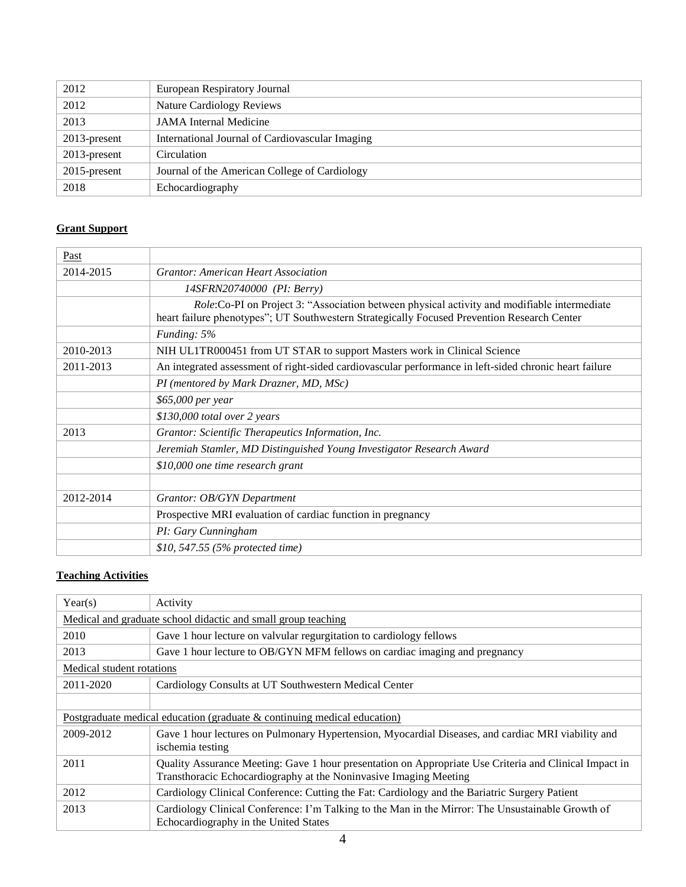| 2012            | European Respiratory Journal                    |
|-----------------|-------------------------------------------------|
| 2012            | <b>Nature Cardiology Reviews</b>                |
| 2013            | <b>JAMA</b> Internal Medicine                   |
| $2013$ -present | International Journal of Cardiovascular Imaging |
| $2013$ -present | Circulation                                     |
| $2015$ -present | Journal of the American College of Cardiology   |
| 2018            | Echocardiography                                |

### **Grant Support**

| Past      |                                                                                                                                                                                            |
|-----------|--------------------------------------------------------------------------------------------------------------------------------------------------------------------------------------------|
| 2014-2015 | <b>Grantor: American Heart Association</b>                                                                                                                                                 |
|           | 14SFRN20740000 (PI: Berry)                                                                                                                                                                 |
|           | Role:Co-PI on Project 3: "Association between physical activity and modifiable intermediate<br>heart failure phenotypes"; UT Southwestern Strategically Focused Prevention Research Center |
|           | Funding: 5%                                                                                                                                                                                |
| 2010-2013 | NIH UL1TR000451 from UT STAR to support Masters work in Clinical Science                                                                                                                   |
| 2011-2013 | An integrated assessment of right-sided cardiovascular performance in left-sided chronic heart failure                                                                                     |
|           | PI (mentored by Mark Drazner, MD, MSc)                                                                                                                                                     |
|           | \$65,000 per year                                                                                                                                                                          |
|           | \$130,000 total over 2 years                                                                                                                                                               |
| 2013      | Grantor: Scientific Therapeutics Information, Inc.                                                                                                                                         |
|           | Jeremiah Stamler, MD Distinguished Young Investigator Research Award                                                                                                                       |
|           | \$10,000 one time research grant                                                                                                                                                           |
|           |                                                                                                                                                                                            |
| 2012-2014 | Grantor: OB/GYN Department                                                                                                                                                                 |
|           | Prospective MRI evaluation of cardiac function in pregnancy                                                                                                                                |
|           | PI: Gary Cunningham                                                                                                                                                                        |
|           | \$10, 547.55 (5% protected time)                                                                                                                                                           |

# **Teaching Activities**

| Year(s)                   | Activity                                                                                                                                                                    |
|---------------------------|-----------------------------------------------------------------------------------------------------------------------------------------------------------------------------|
|                           | Medical and graduate school didactic and small group teaching                                                                                                               |
| 2010                      | Gave 1 hour lecture on valvular regurgitation to cardiology fellows                                                                                                         |
| 2013                      | Gave 1 hour lecture to OB/GYN MFM fellows on cardiac imaging and pregnancy                                                                                                  |
| Medical student rotations |                                                                                                                                                                             |
| 2011-2020                 | Cardiology Consults at UT Southwestern Medical Center                                                                                                                       |
|                           |                                                                                                                                                                             |
|                           | Postgraduate medical education (graduate $&$ continuing medical education)                                                                                                  |
| 2009-2012                 | Gave 1 hour lectures on Pulmonary Hypertension, Myocardial Diseases, and cardiac MRI viability and<br>ischemia testing                                                      |
| 2011                      | Quality Assurance Meeting: Gave 1 hour presentation on Appropriate Use Criteria and Clinical Impact in<br>Transthoracic Echocardiography at the Noninvasive Imaging Meeting |
| 2012                      | Cardiology Clinical Conference: Cutting the Fat: Cardiology and the Bariatric Surgery Patient                                                                               |
| 2013                      | Cardiology Clinical Conference: I'm Talking to the Man in the Mirror: The Unsustainable Growth of<br>Echocardiography in the United States                                  |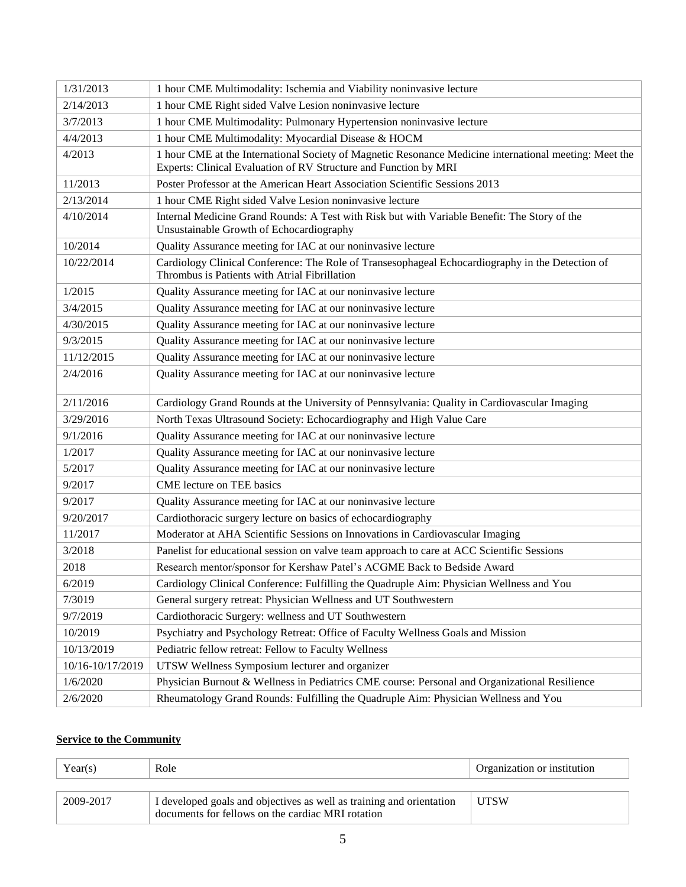| 1/31/2013        | 1 hour CME Multimodality: Ischemia and Viability noninvasive lecture                                                                              |
|------------------|---------------------------------------------------------------------------------------------------------------------------------------------------|
| 2/14/2013        | 1 hour CME Right sided Valve Lesion noninvasive lecture                                                                                           |
| 3/7/2013         | 1 hour CME Multimodality: Pulmonary Hypertension noninvasive lecture                                                                              |
| 4/4/2013         | 1 hour CME Multimodality: Myocardial Disease & HOCM                                                                                               |
| 4/2013           | 1 hour CME at the International Society of Magnetic Resonance Medicine international meeting: Meet the                                            |
|                  | Experts: Clinical Evaluation of RV Structure and Function by MRI                                                                                  |
| 11/2013          | Poster Professor at the American Heart Association Scientific Sessions 2013                                                                       |
| 2/13/2014        | 1 hour CME Right sided Valve Lesion noninvasive lecture                                                                                           |
| 4/10/2014        | Internal Medicine Grand Rounds: A Test with Risk but with Variable Benefit: The Story of the<br>Unsustainable Growth of Echocardiography          |
| 10/2014          | Quality Assurance meeting for IAC at our noninvasive lecture                                                                                      |
| 10/22/2014       | Cardiology Clinical Conference: The Role of Transesophageal Echocardiography in the Detection of<br>Thrombus is Patients with Atrial Fibrillation |
| 1/2015           | Quality Assurance meeting for IAC at our noninvasive lecture                                                                                      |
| 3/4/2015         | Quality Assurance meeting for IAC at our noninvasive lecture                                                                                      |
| 4/30/2015        | Quality Assurance meeting for IAC at our noninvasive lecture                                                                                      |
| 9/3/2015         | Quality Assurance meeting for IAC at our noninvasive lecture                                                                                      |
| 11/12/2015       | Quality Assurance meeting for IAC at our noninvasive lecture                                                                                      |
| 2/4/2016         | Quality Assurance meeting for IAC at our noninvasive lecture                                                                                      |
| 2/11/2016        | Cardiology Grand Rounds at the University of Pennsylvania: Quality in Cardiovascular Imaging                                                      |
| 3/29/2016        | North Texas Ultrasound Society: Echocardiography and High Value Care                                                                              |
| 9/1/2016         | Quality Assurance meeting for IAC at our noninvasive lecture                                                                                      |
| 1/2017           | Quality Assurance meeting for IAC at our noninvasive lecture                                                                                      |
| 5/2017           | Quality Assurance meeting for IAC at our noninvasive lecture                                                                                      |
| 9/2017           | CME lecture on TEE basics                                                                                                                         |
| 9/2017           | Quality Assurance meeting for IAC at our noninvasive lecture                                                                                      |
| 9/20/2017        | Cardiothoracic surgery lecture on basics of echocardiography                                                                                      |
| 11/2017          | Moderator at AHA Scientific Sessions on Innovations in Cardiovascular Imaging                                                                     |
| 3/2018           | Panelist for educational session on valve team approach to care at ACC Scientific Sessions                                                        |
| 2018             | Research mentor/sponsor for Kershaw Patel's ACGME Back to Bedside Award                                                                           |
| 6/2019           | Cardiology Clinical Conference: Fulfilling the Quadruple Aim: Physician Wellness and You                                                          |
| 7/3019           | General surgery retreat: Physician Wellness and UT Southwestern                                                                                   |
| 9/7/2019         | Cardiothoracic Surgery: wellness and UT Southwestern                                                                                              |
| 10/2019          | Psychiatry and Psychology Retreat: Office of Faculty Wellness Goals and Mission                                                                   |
| 10/13/2019       | Pediatric fellow retreat: Fellow to Faculty Wellness                                                                                              |
| 10/16-10/17/2019 | UTSW Wellness Symposium lecturer and organizer                                                                                                    |
| 1/6/2020         | Physician Burnout & Wellness in Pediatrics CME course: Personal and Organizational Resilience                                                     |
| 2/6/2020         | Rheumatology Grand Rounds: Fulfilling the Quadruple Aim: Physician Wellness and You                                                               |

### **Service to the Community**

| Year(s)   | Role                                                                                                                      | Organization or institution |
|-----------|---------------------------------------------------------------------------------------------------------------------------|-----------------------------|
| 2009-2017 | I developed goals and objectives as well as training and orientation<br>documents for fellows on the cardiac MRI rotation | <b>UTSW</b>                 |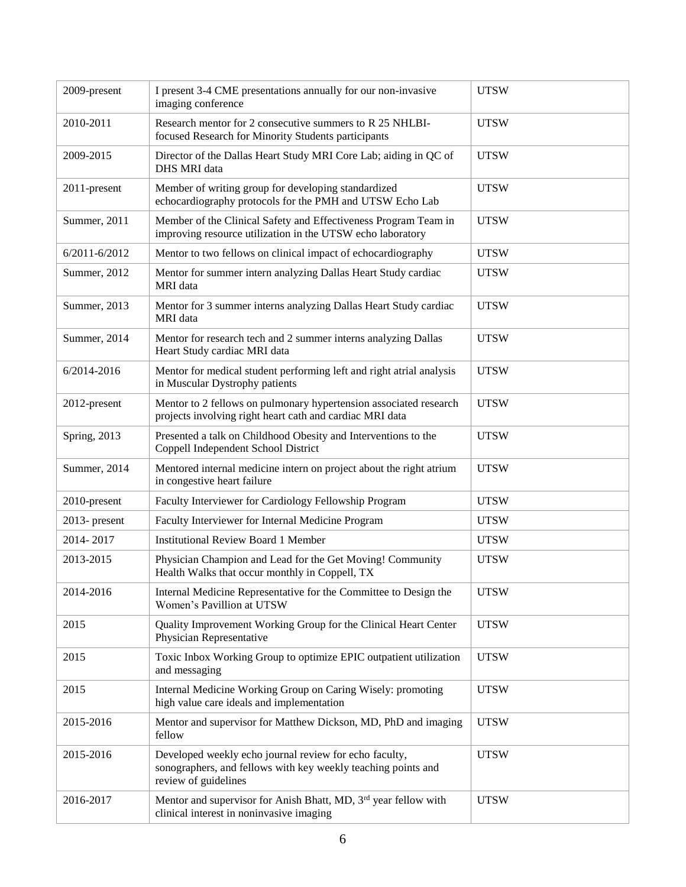| 2009-present      | I present 3-4 CME presentations annually for our non-invasive<br>imaging conference                                                             | <b>UTSW</b> |
|-------------------|-------------------------------------------------------------------------------------------------------------------------------------------------|-------------|
| 2010-2011         | Research mentor for 2 consecutive summers to R 25 NHLBI-<br>focused Research for Minority Students participants                                 | <b>UTSW</b> |
| 2009-2015         | Director of the Dallas Heart Study MRI Core Lab; aiding in QC of<br>DHS MRI data                                                                | <b>UTSW</b> |
| 2011-present      | Member of writing group for developing standardized<br>echocardiography protocols for the PMH and UTSW Echo Lab                                 | <b>UTSW</b> |
| Summer, 2011      | Member of the Clinical Safety and Effectiveness Program Team in<br>improving resource utilization in the UTSW echo laboratory                   | <b>UTSW</b> |
| $6/2011 - 6/2012$ | Mentor to two fellows on clinical impact of echocardiography                                                                                    | <b>UTSW</b> |
| Summer, 2012      | Mentor for summer intern analyzing Dallas Heart Study cardiac<br>MRI data                                                                       | <b>UTSW</b> |
| Summer, 2013      | Mentor for 3 summer interns analyzing Dallas Heart Study cardiac<br>MRI data                                                                    | <b>UTSW</b> |
| Summer, 2014      | Mentor for research tech and 2 summer interns analyzing Dallas<br>Heart Study cardiac MRI data                                                  | <b>UTSW</b> |
| 6/2014-2016       | Mentor for medical student performing left and right atrial analysis<br>in Muscular Dystrophy patients                                          | <b>UTSW</b> |
| 2012-present      | Mentor to 2 fellows on pulmonary hypertension associated research<br>projects involving right heart cath and cardiac MRI data                   | <b>UTSW</b> |
| Spring, 2013      | Presented a talk on Childhood Obesity and Interventions to the<br>Coppell Independent School District                                           | <b>UTSW</b> |
| Summer, 2014      | Mentored internal medicine intern on project about the right atrium<br>in congestive heart failure                                              | <b>UTSW</b> |
| 2010-present      | Faculty Interviewer for Cardiology Fellowship Program                                                                                           | <b>UTSW</b> |
| $2013$ - present  | Faculty Interviewer for Internal Medicine Program                                                                                               | <b>UTSW</b> |
| 2014-2017         | <b>Institutional Review Board 1 Member</b>                                                                                                      | <b>UTSW</b> |
| 2013-2015         | Physician Champion and Lead for the Get Moving! Community<br>Health Walks that occur monthly in Coppell, TX                                     | <b>UTSW</b> |
| 2014-2016         | Internal Medicine Representative for the Committee to Design the<br>Women's Pavillion at UTSW                                                   | <b>UTSW</b> |
| 2015              | Quality Improvement Working Group for the Clinical Heart Center<br>Physician Representative                                                     | <b>UTSW</b> |
| 2015              | Toxic Inbox Working Group to optimize EPIC outpatient utilization<br>and messaging                                                              | <b>UTSW</b> |
| 2015              | Internal Medicine Working Group on Caring Wisely: promoting<br>high value care ideals and implementation                                        | <b>UTSW</b> |
| 2015-2016         | Mentor and supervisor for Matthew Dickson, MD, PhD and imaging<br>fellow                                                                        | <b>UTSW</b> |
| 2015-2016         | Developed weekly echo journal review for echo faculty,<br>sonographers, and fellows with key weekly teaching points and<br>review of guidelines | <b>UTSW</b> |
| 2016-2017         | Mentor and supervisor for Anish Bhatt, MD, 3 <sup>rd</sup> year fellow with<br>clinical interest in noninvasive imaging                         | <b>UTSW</b> |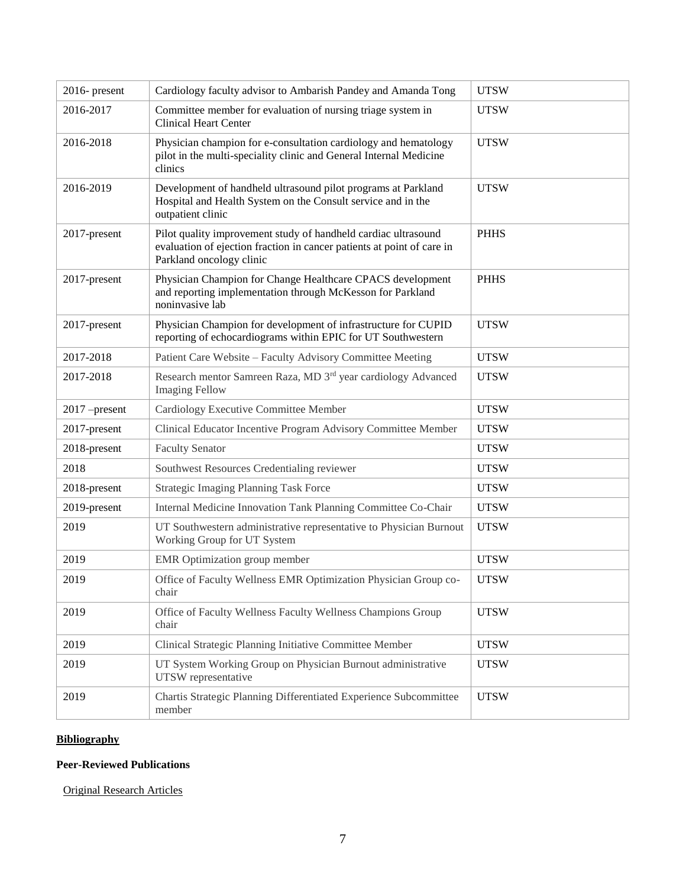| 2016- present   | Cardiology faculty advisor to Ambarish Pandey and Amanda Tong                                                                                                        | <b>UTSW</b> |
|-----------------|----------------------------------------------------------------------------------------------------------------------------------------------------------------------|-------------|
| 2016-2017       | Committee member for evaluation of nursing triage system in<br><b>Clinical Heart Center</b>                                                                          | <b>UTSW</b> |
| 2016-2018       | Physician champion for e-consultation cardiology and hematology<br>pilot in the multi-speciality clinic and General Internal Medicine<br>clinics                     | <b>UTSW</b> |
| 2016-2019       | Development of handheld ultrasound pilot programs at Parkland<br>Hospital and Health System on the Consult service and in the<br>outpatient clinic                   | <b>UTSW</b> |
| 2017-present    | Pilot quality improvement study of handheld cardiac ultrasound<br>evaluation of ejection fraction in cancer patients at point of care in<br>Parkland oncology clinic | <b>PHHS</b> |
| 2017-present    | Physician Champion for Change Healthcare CPACS development<br>and reporting implementation through McKesson for Parkland<br>noninvasive lab                          | <b>PHHS</b> |
| 2017-present    | Physician Champion for development of infrastructure for CUPID<br>reporting of echocardiograms within EPIC for UT Southwestern                                       | <b>UTSW</b> |
| 2017-2018       | Patient Care Website - Faculty Advisory Committee Meeting                                                                                                            | <b>UTSW</b> |
| 2017-2018       | Research mentor Samreen Raza, MD 3 <sup>rd</sup> year cardiology Advanced<br><b>Imaging Fellow</b>                                                                   | <b>UTSW</b> |
| $2017$ -present | Cardiology Executive Committee Member                                                                                                                                | <b>UTSW</b> |
| 2017-present    | Clinical Educator Incentive Program Advisory Committee Member                                                                                                        | <b>UTSW</b> |
| 2018-present    | <b>Faculty Senator</b>                                                                                                                                               | <b>UTSW</b> |
| 2018            | Southwest Resources Credentialing reviewer                                                                                                                           | <b>UTSW</b> |
| 2018-present    | <b>Strategic Imaging Planning Task Force</b>                                                                                                                         | <b>UTSW</b> |
| 2019-present    | Internal Medicine Innovation Tank Planning Committee Co-Chair                                                                                                        | <b>UTSW</b> |
| 2019            | UT Southwestern administrative representative to Physician Burnout<br>Working Group for UT System                                                                    | <b>UTSW</b> |
|                 |                                                                                                                                                                      |             |
| 2019            | <b>EMR</b> Optimization group member                                                                                                                                 | <b>UTSW</b> |
| 2019            | Office of Faculty Wellness EMR Optimization Physician Group co-<br>chair                                                                                             | <b>UTSW</b> |
| 2019            | Office of Faculty Wellness Faculty Wellness Champions Group<br>chair                                                                                                 | <b>UTSW</b> |
| 2019            | Clinical Strategic Planning Initiative Committee Member                                                                                                              | <b>UTSW</b> |
| 2019            | UT System Working Group on Physician Burnout administrative<br>UTSW representative                                                                                   | <b>UTSW</b> |

## **Bibliography**

### **Peer-Reviewed Publications**

Original Research Articles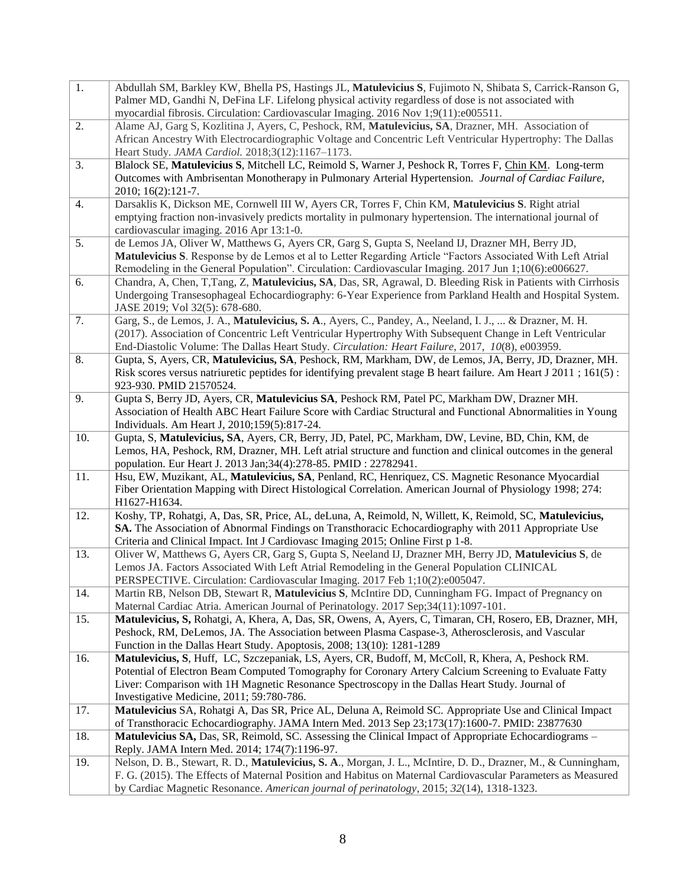| 1.  | Abdullah SM, Barkley KW, Bhella PS, Hastings JL, Matulevicius S, Fujimoto N, Shibata S, Carrick-Ranson G,<br>Palmer MD, Gandhi N, DeFina LF. Lifelong physical activity regardless of dose is not associated with |
|-----|-------------------------------------------------------------------------------------------------------------------------------------------------------------------------------------------------------------------|
|     | myocardial fibrosis. Circulation: Cardiovascular Imaging. 2016 Nov 1;9(11):e005511.                                                                                                                               |
| 2.  | Alame AJ, Garg S, Kozlitina J, Ayers, C, Peshock, RM, Matulevicius, SA, Drazner, MH. Association of                                                                                                               |
|     | African Ancestry With Electrocardiographic Voltage and Concentric Left Ventricular Hypertrophy: The Dallas                                                                                                        |
|     | Heart Study. JAMA Cardiol. 2018;3(12):1167-1173.                                                                                                                                                                  |
| 3.  | Blalock SE, Matulevicius S, Mitchell LC, Reimold S, Warner J, Peshock R, Torres F, Chin KM. Long-term                                                                                                             |
|     | Outcomes with Ambrisentan Monotherapy in Pulmonary Arterial Hypertension. Journal of Cardiac Failure,<br>2010; 16(2):121-7.                                                                                       |
| 4.  | Darsaklis K, Dickson ME, Cornwell III W, Ayers CR, Torres F, Chin KM, Matulevicius S. Right atrial                                                                                                                |
|     | emptying fraction non-invasively predicts mortality in pulmonary hypertension. The international journal of                                                                                                       |
|     | cardiovascular imaging. 2016 Apr 13:1-0.                                                                                                                                                                          |
| 5.  | de Lemos JA, Oliver W, Matthews G, Ayers CR, Garg S, Gupta S, Neeland IJ, Drazner MH, Berry JD,                                                                                                                   |
|     | Matulevicius S. Response by de Lemos et al to Letter Regarding Article "Factors Associated With Left Atrial                                                                                                       |
|     | Remodeling in the General Population". Circulation: Cardiovascular Imaging. 2017 Jun 1;10(6):e006627.                                                                                                             |
| 6.  | Chandra, A, Chen, T,Tang, Z, Matulevicius, SA, Das, SR, Agrawal, D. Bleeding Risk in Patients with Cirrhosis                                                                                                      |
|     | Undergoing Transesophageal Echocardiography: 6-Year Experience from Parkland Health and Hospital System.                                                                                                          |
|     | JASE 2019; Vol 32(5): 678-680.                                                                                                                                                                                    |
| 7.  | Garg, S., de Lemos, J. A., Matulevicius, S. A., Ayers, C., Pandey, A., Neeland, I. J.,  & Drazner, M. H.                                                                                                          |
|     | (2017). Association of Concentric Left Ventricular Hypertrophy With Subsequent Change in Left Ventricular                                                                                                         |
|     | End-Diastolic Volume: The Dallas Heart Study. Circulation: Heart Failure, 2017, 10(8), e003959.                                                                                                                   |
| 8.  | Gupta, S, Ayers, CR, Matulevicius, SA, Peshock, RM, Markham, DW, de Lemos, JA, Berry, JD, Drazner, MH.                                                                                                            |
|     | Risk scores versus natriuretic peptides for identifying prevalent stage B heart failure. Am Heart J 2011 ; 161(5):                                                                                                |
| 9.  | 923-930. PMID 21570524.<br>Gupta S, Berry JD, Ayers, CR, Matulevicius SA, Peshock RM, Patel PC, Markham DW, Drazner MH.                                                                                           |
|     | Association of Health ABC Heart Failure Score with Cardiac Structural and Functional Abnormalities in Young                                                                                                       |
|     | Individuals. Am Heart J, 2010;159(5):817-24.                                                                                                                                                                      |
| 10. | Gupta, S, Matulevicius, SA, Ayers, CR, Berry, JD, Patel, PC, Markham, DW, Levine, BD, Chin, KM, de                                                                                                                |
|     | Lemos, HA, Peshock, RM, Drazner, MH. Left atrial structure and function and clinical outcomes in the general                                                                                                      |
|     | population. Eur Heart J. 2013 Jan;34(4):278-85. PMID : 22782941.                                                                                                                                                  |
| 11. | Hsu, EW, Muzikant, AL, Matulevicius, SA, Penland, RC, Henriquez, CS. Magnetic Resonance Myocardial                                                                                                                |
|     | Fiber Orientation Mapping with Direct Histological Correlation. American Journal of Physiology 1998; 274:                                                                                                         |
|     | H1627-H1634.                                                                                                                                                                                                      |
| 12. | Koshy, TP, Rohatgi, A, Das, SR, Price, AL, deLuna, A, Reimold, N, Willett, K, Reimold, SC, Matulevicius,                                                                                                          |
|     | SA. The Association of Abnormal Findings on Transthoracic Echocardiography with 2011 Appropriate Use                                                                                                              |
|     | Criteria and Clinical Impact. Int J Cardiovasc Imaging 2015; Online First p 1-8.                                                                                                                                  |
| 13. | Oliver W, Matthews G, Ayers CR, Garg S, Gupta S, Neeland IJ, Drazner MH, Berry JD, Matulevicius S, de                                                                                                             |
|     | Lemos JA. Factors Associated With Left Atrial Remodeling in the General Population CLINICAL                                                                                                                       |
|     | PERSPECTIVE. Circulation: Cardiovascular Imaging. 2017 Feb 1;10(2):e005047.                                                                                                                                       |
| 14. | Martin RB, Nelson DB, Stewart R, Matulevicius S, McIntire DD, Cunningham FG. Impact of Pregnancy on                                                                                                               |
|     | Maternal Cardiac Atria. American Journal of Perinatology. 2017 Sep;34(11):1097-101.<br>Matulevicius, S, Rohatgi, A, Khera, A, Das, SR, Owens, A, Ayers, C, Timaran, CH, Rosero, EB, Drazner, MH,                  |
| 15. | Peshock, RM, DeLemos, JA. The Association between Plasma Caspase-3, Atherosclerosis, and Vascular                                                                                                                 |
|     | Function in the Dallas Heart Study. Apoptosis, 2008; 13(10): 1281-1289                                                                                                                                            |
| 16. | Matulevicius, S. Huff, LC, Szczepaniak, LS, Ayers, CR, Budoff, M, McColl, R, Khera, A, Peshock RM.                                                                                                                |
|     | Potential of Electron Beam Computed Tomography for Coronary Artery Calcium Screening to Evaluate Fatty                                                                                                            |
|     | Liver: Comparison with 1H Magnetic Resonance Spectroscopy in the Dallas Heart Study. Journal of                                                                                                                   |
|     | Investigative Medicine, 2011; 59:780-786.                                                                                                                                                                         |
| 17. | Matulevicius SA, Rohatgi A, Das SR, Price AL, Deluna A, Reimold SC. Appropriate Use and Clinical Impact                                                                                                           |
|     | of Transthoracic Echocardiography. JAMA Intern Med. 2013 Sep 23;173(17):1600-7. PMID: 23877630                                                                                                                    |
| 18. | Matulevicius SA, Das, SR, Reimold, SC. Assessing the Clinical Impact of Appropriate Echocardiograms –                                                                                                             |
|     | Reply. JAMA Intern Med. 2014; 174(7):1196-97.                                                                                                                                                                     |
| 19. | Nelson, D. B., Stewart, R. D., Matulevicius, S. A., Morgan, J. L., McIntire, D. D., Drazner, M., & Cunningham,                                                                                                    |
|     | F. G. (2015). The Effects of Maternal Position and Habitus on Maternal Cardiovascular Parameters as Measured                                                                                                      |
|     | by Cardiac Magnetic Resonance. American journal of perinatology, 2015; 32(14), 1318-1323.                                                                                                                         |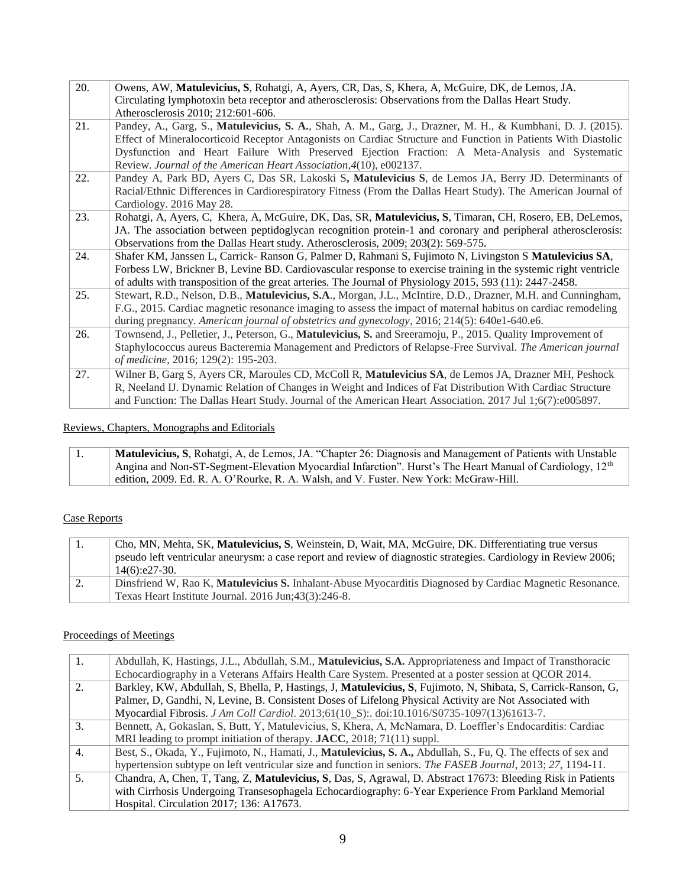| 20. | Owens, AW, Matulevicius, S, Rohatgi, A, Ayers, CR, Das, S, Khera, A, McGuire, DK, de Lemos, JA.                 |  |  |
|-----|-----------------------------------------------------------------------------------------------------------------|--|--|
|     | Circulating lymphotoxin beta receptor and atherosclerosis: Observations from the Dallas Heart Study.            |  |  |
|     | Atherosclerosis 2010; 212:601-606.                                                                              |  |  |
| 21. | Pandey, A., Garg, S., Matulevicius, S. A., Shah, A. M., Garg, J., Drazner, M. H., & Kumbhani, D. J. (2015).     |  |  |
|     | Effect of Mineralocorticoid Receptor Antagonists on Cardiac Structure and Function in Patients With Diastolic   |  |  |
|     | Dysfunction and Heart Failure With Preserved Ejection Fraction: A Meta-Analysis and Systematic                  |  |  |
|     | Review. Journal of the American Heart Association, 4(10), e002137.                                              |  |  |
| 22. | Pandey A, Park BD, Ayers C, Das SR, Lakoski S, Matulevicius S, de Lemos JA, Berry JD. Determinants of           |  |  |
|     | Racial/Ethnic Differences in Cardiorespiratory Fitness (From the Dallas Heart Study). The American Journal of   |  |  |
|     | Cardiology. 2016 May 28.                                                                                        |  |  |
| 23. | Rohatgi, A, Ayers, C, Khera, A, McGuire, DK, Das, SR, Matulevicius, S, Timaran, CH, Rosero, EB, DeLemos,        |  |  |
|     | JA. The association between peptidoglycan recognition protein-1 and coronary and peripheral atherosclerosis:    |  |  |
|     | Observations from the Dallas Heart study. Atherosclerosis, 2009; 203(2): 569-575.                               |  |  |
| 24. | Shafer KM, Janssen L, Carrick- Ranson G, Palmer D, Rahmani S, Fujimoto N, Livingston S Matulevicius SA,         |  |  |
|     | Forbess LW, Brickner B, Levine BD. Cardiovascular response to exercise training in the systemic right ventricle |  |  |
|     | of adults with transposition of the great arteries. The Journal of Physiology 2015, 593 (11): 2447-2458.        |  |  |
| 25. | Stewart, R.D., Nelson, D.B., Matulevicius, S.A., Morgan, J.L., McIntire, D.D., Drazner, M.H. and Cunningham,    |  |  |
|     | F.G., 2015. Cardiac magnetic resonance imaging to assess the impact of maternal habitus on cardiac remodeling   |  |  |
|     | during pregnancy. American journal of obstetrics and gynecology, 2016; 214(5): 640e1-640.e6.                    |  |  |
| 26. | Townsend, J., Pelletier, J., Peterson, G., Matulevicius, S. and Sreeramoju, P., 2015. Quality Improvement of    |  |  |
|     | Staphylococcus aureus Bacteremia Management and Predictors of Relapse-Free Survival. The American journal       |  |  |
|     | of medicine, 2016; 129(2): 195-203.                                                                             |  |  |
| 27. | Wilner B, Garg S, Ayers CR, Maroules CD, McColl R, Matulevicius SA, de Lemos JA, Drazner MH, Peshock            |  |  |
|     | R, Neeland IJ. Dynamic Relation of Changes in Weight and Indices of Fat Distribution With Cardiac Structure     |  |  |
|     | and Function: The Dallas Heart Study. Journal of the American Heart Association. 2017 Jul 1;6(7):e005897.       |  |  |

#### Reviews, Chapters, Monographs and Editorials

1. **Matulevicius, S**, Rohatgi, A, de Lemos, JA. "Chapter 26: Diagnosis and Management of Patients with Unstable Angina and Non-ST-Segment-Elevation Myocardial Infarction". Hurst's The Heart Manual of Cardiology, 12<sup>th</sup> edition, 2009. Ed. R. A. O'Rourke, R. A. Walsh, and V. Fuster. New York: McGraw-Hill.

#### Case Reports

| 1. | Cho, MN, Mehta, SK, Matulevicius, S, Weinstein, D, Wait, MA, McGuire, DK. Differentiating true versus           |
|----|-----------------------------------------------------------------------------------------------------------------|
|    | pseudo left ventricular aneurysm: a case report and review of diagnostic strategies. Cardiology in Review 2006; |
|    | $14(6):e27-30.$                                                                                                 |
| 2. | Dinsfriend W, Rao K, Matulevicius S. Inhalant-Abuse Myocarditis Diagnosed by Cardiac Magnetic Resonance.        |
|    | Texas Heart Institute Journal. 2016 Jun; 43(3): 246-8.                                                          |

#### Proceedings of Meetings

| 1.               | Abdullah, K, Hastings, J.L., Abdullah, S.M., Matulevicius, S.A. Appropriateness and Impact of Transthoracic     |
|------------------|-----------------------------------------------------------------------------------------------------------------|
|                  |                                                                                                                 |
|                  | Echocardiography in a Veterans Affairs Health Care System. Presented at a poster session at QCOR 2014.          |
| $\mathfrak{D}$   | Barkley, KW, Abdullah, S, Bhella, P, Hastings, J, Matulevicius, S, Fujimoto, N, Shibata, S, Carrick-Ranson, G,  |
|                  | Palmer, D, Gandhi, N, Levine, B. Consistent Doses of Lifelong Physical Activity are Not Associated with         |
|                  | Myocardial Fibrosis. J Am Coll Cardiol. 2013;61(10_S):. doi:10.1016/S0735-1097(13)61613-7.                      |
| 3.               | Bennett, A, Gokaslan, S, Butt, Y, Matulevicius, S, Khera, A, McNamara, D. Loeffler's Endocarditis: Cardiac      |
|                  | MRI leading to prompt initiation of therapy. JACC, 2018; 71(11) suppl.                                          |
| $\overline{4}$ . | Best, S., Okada, Y., Fujimoto, N., Hamati, J., Matulevicius, S. A., Abdullah, S., Fu, Q. The effects of sex and |
|                  | hypertension subtype on left ventricular size and function in seniors. The FASEB Journal, 2013; 27, 1194-11.    |
| .5.              | Chandra, A, Chen, T, Tang, Z, Matulevicius, S, Das, S, Agrawal, D. Abstract 17673: Bleeding Risk in Patients    |
|                  | with Cirrhosis Undergoing Transesophagela Echocardiography: 6-Year Experience From Parkland Memorial            |
|                  | Hospital. Circulation 2017; 136: A17673.                                                                        |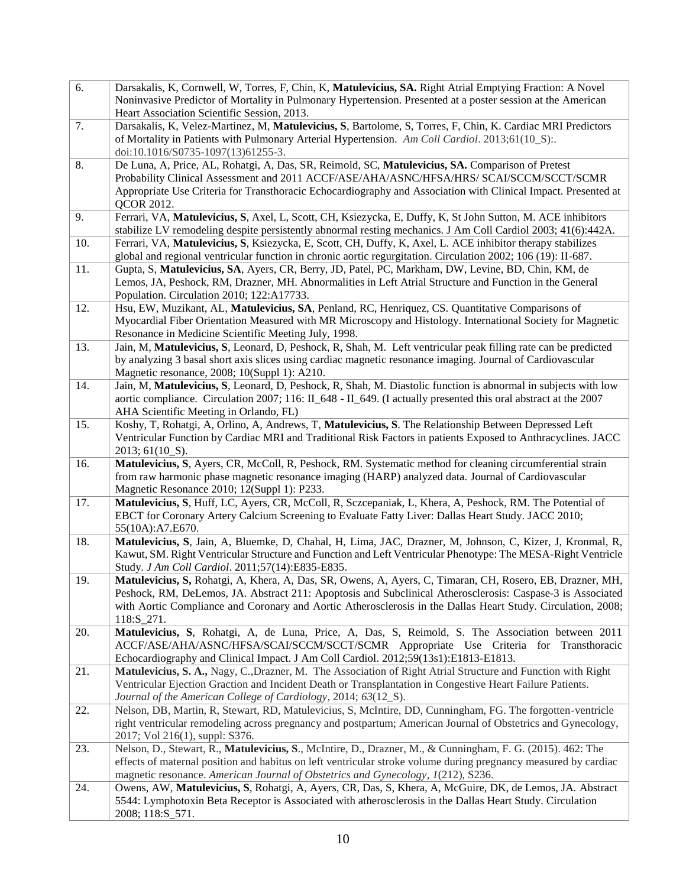| 6.  | Darsakalis, K, Cornwell, W, Torres, F, Chin, K, Matulevicius, SA. Right Atrial Emptying Fraction: A Novel                                                                                           |
|-----|-----------------------------------------------------------------------------------------------------------------------------------------------------------------------------------------------------|
|     | Noninvasive Predictor of Mortality in Pulmonary Hypertension. Presented at a poster session at the American                                                                                         |
|     | Heart Association Scientific Session, 2013.                                                                                                                                                         |
| 7.  | Darsakalis, K, Velez-Martinez, M, Matulevicius, S, Bartolome, S, Torres, F, Chin, K. Cardiac MRI Predictors                                                                                         |
|     | of Mortality in Patients with Pulmonary Arterial Hypertension. Am Coll Cardiol. 2013;61(10_S):.                                                                                                     |
|     | doi:10.1016/S0735-1097(13)61255-3.                                                                                                                                                                  |
| 8.  | De Luna, A, Price, AL, Rohatgi, A, Das, SR, Reimold, SC, Matulevicius, SA. Comparison of Pretest                                                                                                    |
|     | Probability Clinical Assessment and 2011 ACCF/ASE/AHA/ASNC/HFSA/HRS/ SCAI/SCCM/SCCT/SCMR                                                                                                            |
|     | Appropriate Use Criteria for Transthoracic Echocardiography and Association with Clinical Impact. Presented at                                                                                      |
|     | <b>QCOR 2012.</b>                                                                                                                                                                                   |
| 9.  | Ferrari, VA, Matulevicius, S, Axel, L, Scott, CH, Ksiezycka, E, Duffy, K, St John Sutton, M. ACE inhibitors                                                                                         |
|     | stabilize LV remodeling despite persistently abnormal resting mechanics. J Am Coll Cardiol 2003; 41(6):442A.                                                                                        |
| 10. | Ferrari, VA, Matulevicius, S, Ksiezycka, E, Scott, CH, Duffy, K, Axel, L. ACE inhibitor therapy stabilizes                                                                                          |
|     | global and regional ventricular function in chronic aortic regurgitation. Circulation 2002; 106 (19): II-687.                                                                                       |
| 11. | Gupta, S, Matulevicius, SA, Ayers, CR, Berry, JD, Patel, PC, Markham, DW, Levine, BD, Chin, KM, de                                                                                                  |
|     | Lemos, JA, Peshock, RM, Drazner, MH. Abnormalities in Left Atrial Structure and Function in the General                                                                                             |
|     | Population. Circulation 2010; 122:A17733.                                                                                                                                                           |
| 12. | Hsu, EW, Muzikant, AL, Matulevicius, SA, Penland, RC, Henriquez, CS. Quantitative Comparisons of                                                                                                    |
|     | Myocardial Fiber Orientation Measured with MR Microscopy and Histology. International Society for Magnetic                                                                                          |
|     | Resonance in Medicine Scientific Meeting July, 1998.                                                                                                                                                |
| 13. | Jain, M, Matulevicius, S, Leonard, D, Peshock, R, Shah, M. Left ventricular peak filling rate can be predicted                                                                                      |
|     | by analyzing 3 basal short axis slices using cardiac magnetic resonance imaging. Journal of Cardiovascular                                                                                          |
| 14. | Magnetic resonance, 2008; 10(Suppl 1): A210.<br>Jain, M, Matulevicius, S, Leonard, D, Peshock, R, Shah, M. Diastolic function is abnormal in subjects with low                                      |
|     | aortic compliance. Circulation 2007; 116: II_648 - II_649. (I actually presented this oral abstract at the 2007                                                                                     |
|     | AHA Scientific Meeting in Orlando, FL)                                                                                                                                                              |
| 15. | Koshy, T, Rohatgi, A, Orlino, A, Andrews, T, Matulevicius, S. The Relationship Between Depressed Left                                                                                               |
|     | Ventricular Function by Cardiac MRI and Traditional Risk Factors in patients Exposed to Anthracyclines. JACC                                                                                        |
|     | 2013; 61(10_S).                                                                                                                                                                                     |
| 16. | Matulevicius, S, Ayers, CR, McColl, R, Peshock, RM. Systematic method for cleaning circumferential strain                                                                                           |
|     | from raw harmonic phase magnetic resonance imaging (HARP) analyzed data. Journal of Cardiovascular                                                                                                  |
|     | Magnetic Resonance 2010; 12(Suppl 1): P233.                                                                                                                                                         |
| 17. | Matulevicius, S, Huff, LC, Ayers, CR, McColl, R, Sczcepaniak, L, Khera, A, Peshock, RM. The Potential of                                                                                            |
|     | EBCT for Coronary Artery Calcium Screening to Evaluate Fatty Liver: Dallas Heart Study. JACC 2010;                                                                                                  |
|     | 55(10A): A7.E670.                                                                                                                                                                                   |
| 18. | Matulevicius, S, Jain, A, Bluemke, D, Chahal, H, Lima, JAC, Drazner, M, Johnson, C, Kizer, J, Kronmal, R,                                                                                           |
|     | Kawut, SM. Right Ventricular Structure and Function and Left Ventricular Phenotype: The MESA-Right Ventricle                                                                                        |
|     | Study. J Am Coll Cardiol. 2011;57(14):E835-E835.                                                                                                                                                    |
| 19. | Matulevicius, S, Rohatgi, A, Khera, A, Das, SR, Owens, A, Ayers, C, Timaran, CH, Rosero, EB, Drazner, MH,                                                                                           |
|     | Peshock, RM, DeLemos, JA. Abstract 211: Apoptosis and Subclinical Atherosclerosis: Caspase-3 is Associated                                                                                          |
|     | with Aortic Compliance and Coronary and Aortic Atherosclerosis in the Dallas Heart Study. Circulation, 2008;                                                                                        |
|     | 118:S_271.                                                                                                                                                                                          |
| 20. | Matulevicius, S, Rohatgi, A, de Luna, Price, A, Das, S, Reimold, S. The Association between 2011                                                                                                    |
|     | ACCF/ASE/AHA/ASNC/HFSA/SCAI/SCCM/SCCT/SCMR Appropriate Use Criteria for Transthoracic                                                                                                               |
| 21. | Echocardiography and Clinical Impact. J Am Coll Cardiol. 2012;59(13s1):E1813-E1813.<br>Matulevicius, S. A., Nagy, C., Drazner, M. The Association of Right Atrial Structure and Function with Right |
|     | Ventricular Ejection Graction and Incident Death or Transplantation in Congestive Heart Failure Patients.                                                                                           |
|     | Journal of the American College of Cardiology, 2014; 63(12_S).                                                                                                                                      |
| 22. | Nelson, DB, Martin, R, Stewart, RD, Matulevicius, S, McIntire, DD, Cunningham, FG. The forgotten-ventricle                                                                                          |
|     | right ventricular remodeling across pregnancy and postpartum; American Journal of Obstetrics and Gynecology,                                                                                        |
|     | 2017; Vol 216(1), suppl: S376.                                                                                                                                                                      |
| 23. | Nelson, D., Stewart, R., Matulevicius, S., McIntire, D., Drazner, M., & Cunningham, F. G. (2015). 462: The                                                                                          |
|     | effects of maternal position and habitus on left ventricular stroke volume during pregnancy measured by cardiac                                                                                     |
|     | magnetic resonance. American Journal of Obstetrics and Gynecology, 1(212), S236.                                                                                                                    |
| 24. | Owens, AW, Matulevicius, S, Rohatgi, A, Ayers, CR, Das, S, Khera, A, McGuire, DK, de Lemos, JA. Abstract                                                                                            |
|     | 5544: Lymphotoxin Beta Receptor is Associated with atherosclerosis in the Dallas Heart Study. Circulation                                                                                           |
|     | 2008; 118:S_571.                                                                                                                                                                                    |